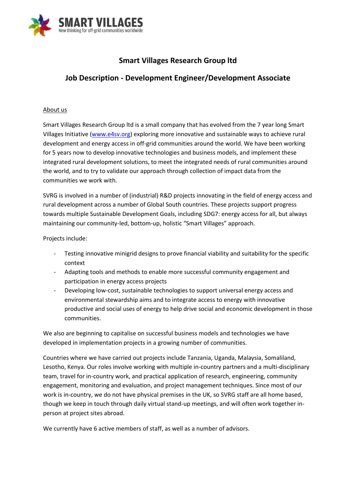

# **Smart Villages Research Group ltd**

## **Job Description - Development Engineer/Development Associate**

#### About us

Smart Villages Research Group ltd is a small company that has evolved from the 7 year long Smart Villages Initiative [\(www.e4sv.org\)](http://www.e4sv.org/) exploring more innovative and sustainable ways to achieve rural development and energy access in off-grid communities around the world. We have been working for 5 years now to develop innovative technologies and business models, and implement these integrated rural development solutions, to meet the integrated needs of rural communities around the world, and to try to validate our approach through collection of impact data from the communities we work with.

SVRG is involved in a number of (industrial) R&D projects innovating in the field of energy access and rural development across a number of Global South countries. These projects support progress towards multiple Sustainable Development Goals, including SDG7: energy access for all, but always maintaining our community-led, bottom-up, holistic "Smart Villages" approach.

Projects include:

- Testing innovative minigrid designs to prove financial viability and suitability for the specific context
- Adapting tools and methods to enable more successful community engagement and participation in energy access projects
- Developing low-cost, sustainable technologies to support universal energy access and environmental stewardship aims and to integrate access to energy with innovative productive and social uses of energy to help drive social and economic development in those communities.

We also are beginning to capitalise on successful business models and technologies we have developed in implementation projects in a growing number of communities.

Countries where we have carried out projects include Tanzania, Uganda, Malaysia, Somaliland, Lesotho, Kenya. Our roles involve working with multiple in-country partners and a multi-disciplinary team, travel for in-country work, and practical application of research, engineering, community engagement, monitoring and evaluation, and project management techniques. Since most of our work is in-country, we do not have physical premises in the UK, so SVRG staff are all home based, though we keep in touch through daily virtual stand-up meetings, and will often work together inperson at project sites abroad.

We currently have 6 active members of staff, as well as a number of advisors.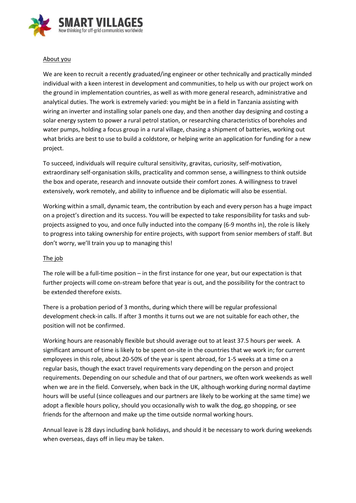

#### About you

We are keen to recruit a recently graduated/ing engineer or other technically and practically minded individual with a keen interest in development and communities, to help us with our project work on the ground in implementation countries, as well as with more general research, administrative and analytical duties. The work is extremely varied: you might be in a field in Tanzania assisting with wiring an inverter and installing solar panels one day, and then another day designing and costing a solar energy system to power a rural petrol station, or researching characteristics of boreholes and water pumps, holding a focus group in a rural village, chasing a shipment of batteries, working out what bricks are best to use to build a coldstore, or helping write an application for funding for a new project.

To succeed, individuals will require cultural sensitivity, gravitas, curiosity, self-motivation, extraordinary self-organisation skills, practicality and common sense, a willingness to think outside the box and operate, research and innovate outside their comfort zones. A willingness to travel extensively, work remotely, and ability to influence and be diplomatic will also be essential.

Working within a small, dynamic team, the contribution by each and every person has a huge impact on a project's direction and its success. You will be expected to take responsibility for tasks and subprojects assigned to you, and once fully inducted into the company (6-9 months in), the role is likely to progress into taking ownership for entire projects, with support from senior members of staff. But don't worry, we'll train you up to managing this!

#### The job

The role will be a full-time position – in the first instance for one year, but our expectation is that further projects will come on-stream before that year is out, and the possibility for the contract to be extended therefore exists.

There is a probation period of 3 months, during which there will be regular professional development check-in calls. If after 3 months it turns out we are not suitable for each other, the position will not be confirmed.

Working hours are reasonably flexible but should average out to at least 37.5 hours per week. A significant amount of time is likely to be spent on-site in the countries that we work in; for current employees in this role, about 20-50% of the year is spent abroad, for 1-5 weeks at a time on a regular basis, though the exact travel requirements vary depending on the person and project requirements. Depending on our schedule and that of our partners, we often work weekends as well when we are in the field. Conversely, when back in the UK, although working during normal daytime hours will be useful (since colleagues and our partners are likely to be working at the same time) we adopt a flexible hours policy, should you occasionally wish to walk the dog, go shopping, or see friends for the afternoon and make up the time outside normal working hours.

Annual leave is 28 days including bank holidays, and should it be necessary to work during weekends when overseas, days off in lieu may be taken.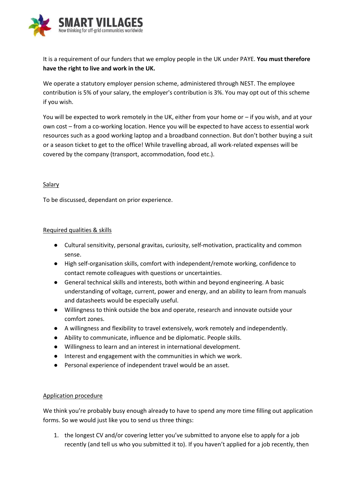

It is a requirement of our funders that we employ people in the UK under PAYE. **You must therefore have the right to live and work in the UK.**

We operate a statutory employer pension scheme, administered through NEST. The employee contribution is 5% of your salary, the employer's contribution is 3%. You may opt out of this scheme if you wish.

You will be expected to work remotely in the UK, either from your home or – if you wish, and at your own cost – from a co-working location. Hence you will be expected to have access to essential work resources such as a good working laptop and a broadband connection. But don't bother buying a suit or a season ticket to get to the office! While travelling abroad, all work-related expenses will be covered by the company (transport, accommodation, food etc.).

## Salary

To be discussed, dependant on prior experience.

## Required qualities & skills

- Cultural sensitivity, personal gravitas, curiosity, self-motivation, practicality and common sense.
- High self-organisation skills, comfort with independent/remote working, confidence to contact remote colleagues with questions or uncertainties.
- General technical skills and interests, both within and beyond engineering. A basic understanding of voltage, current, power and energy, and an ability to learn from manuals and datasheets would be especially useful.
- Willingness to think outside the box and operate, research and innovate outside your comfort zones.
- A willingness and flexibility to travel extensively, work remotely and independently.
- Ability to communicate, influence and be diplomatic. People skills.
- Willingness to learn and an interest in international development.
- Interest and engagement with the communities in which we work.
- Personal experience of independent travel would be an asset.

## Application procedure

We think you're probably busy enough already to have to spend any more time filling out application forms. So we would just like you to send us three things:

1. the longest CV and/or covering letter you've submitted to anyone else to apply for a job recently (and tell us who you submitted it to). If you haven't applied for a job recently, then